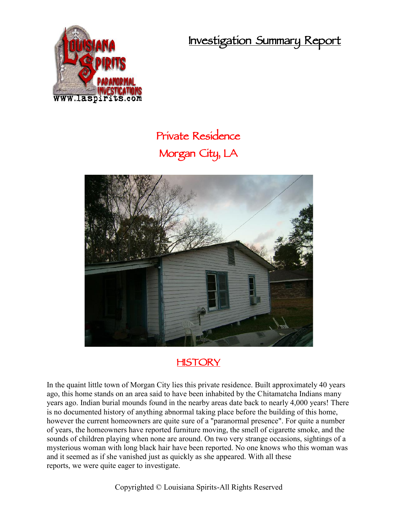**Investigation Summary Report**



## **Private Residence Morgan City, LA**



## **HISTORY**

In the quaint little town of Morgan City lies this private residence. Built approximately 40 years ago, this home stands on an area said to have been inhabited by the Chitamatcha Indians many years ago. Indian burial mounds found in the nearby areas date back to nearly 4,000 years! There is no documented history of anything abnormal taking place before the building of this home, however the current homeowners are quite sure of a "paranormal presence". For quite a number of years, the homeowners have reported furniture moving, the smell of cigarette smoke, and the sounds of children playing when none are around. On two very strange occasions, sightings of a mysterious woman with long black hair have been reported. No one knows who this woman was and it seemed as if she vanished just as quickly as she appeared. With all these reports, we were quite eager to investigate.

Copyrighted © Louisiana Spirits-All Rights Reserved